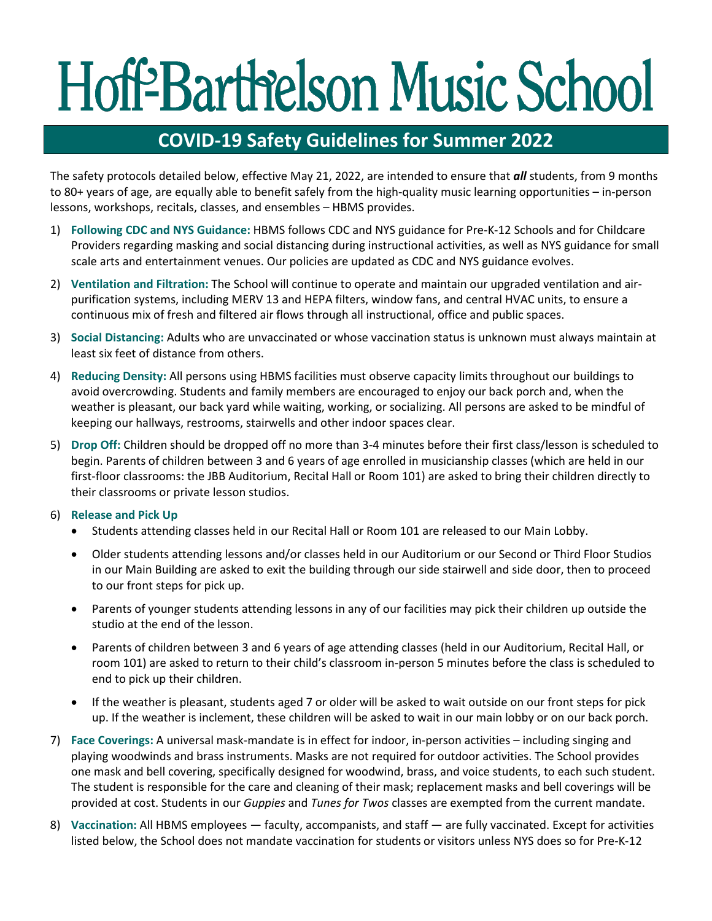## Hoff-Barthelson Music School

## **COVID-19 Safety Guidelines for Summer 2022**

The safety protocols detailed below, effective May 21, 2022, are intended to ensure that *all* students, from 9 months to 80+ years of age, are equally able to benefit safely from the high-quality music learning opportunities – in-person lessons, workshops, recitals, classes, and ensembles – HBMS provides.

- 1) **Following CDC and NYS Guidance:** HBMS follows CDC and NYS guidance for Pre-K-12 Schools and for Childcare Providers regarding masking and social distancing during instructional activities, as well as NYS guidance for small scale arts and entertainment venues. Our policies are updated as CDC and NYS guidance evolves.
- 2) **Ventilation and Filtration:** The School will continue to operate and maintain our upgraded ventilation and airpurification systems, including MERV 13 and HEPA filters, window fans, and central HVAC units, to ensure a continuous mix of fresh and filtered air flows through all instructional, office and public spaces.
- 3) **Social Distancing:** Adults who are unvaccinated or whose vaccination status is unknown must always maintain at least six feet of distance from others.
- 4) **Reducing Density:** All persons using HBMS facilities must observe capacity limits throughout our buildings to avoid overcrowding. Students and family members are encouraged to enjoy our back porch and, when the weather is pleasant, our back yard while waiting, working, or socializing. All persons are asked to be mindful of keeping our hallways, restrooms, stairwells and other indoor spaces clear.
- 5) **Drop Off:** Children should be dropped off no more than 3-4 minutes before their first class/lesson is scheduled to begin. Parents of children between 3 and 6 years of age enrolled in musicianship classes (which are held in our first-floor classrooms: the JBB Auditorium, Recital Hall or Room 101) are asked to bring their children directly to their classrooms or private lesson studios.

## 6) **Release and Pick Up**

- Students attending classes held in our Recital Hall or Room 101 are released to our Main Lobby.
- Older students attending lessons and/or classes held in our Auditorium or our Second or Third Floor Studios in our Main Building are asked to exit the building through our side stairwell and side door, then to proceed to our front steps for pick up.
- Parents of younger students attending lessons in any of our facilities may pick their children up outside the studio at the end of the lesson.
- Parents of children between 3 and 6 years of age attending classes (held in our Auditorium, Recital Hall, or room 101) are asked to return to their child's classroom in-person 5 minutes before the class is scheduled to end to pick up their children.
- If the weather is pleasant, students aged 7 or older will be asked to wait outside on our front steps for pick up. If the weather is inclement, these children will be asked to wait in our main lobby or on our back porch.
- 7) **Face Coverings:** A universal mask-mandate is in effect for indoor, in-person activities including singing and playing woodwinds and brass instruments. Masks are not required for outdoor activities. The School provides one mask and bell covering, specifically designed for woodwind, brass, and voice students, to each such student. The student is responsible for the care and cleaning of their mask; replacement masks and bell coverings will be provided at cost. Students in our *Guppies* and *Tunes for Twos* classes are exempted from the current mandate.
- 8) **Vaccination:** All HBMS employees faculty, accompanists, and staff are fully vaccinated. Except for activities listed below, the School does not mandate vaccination for students or visitors unless NYS does so for Pre-K-12